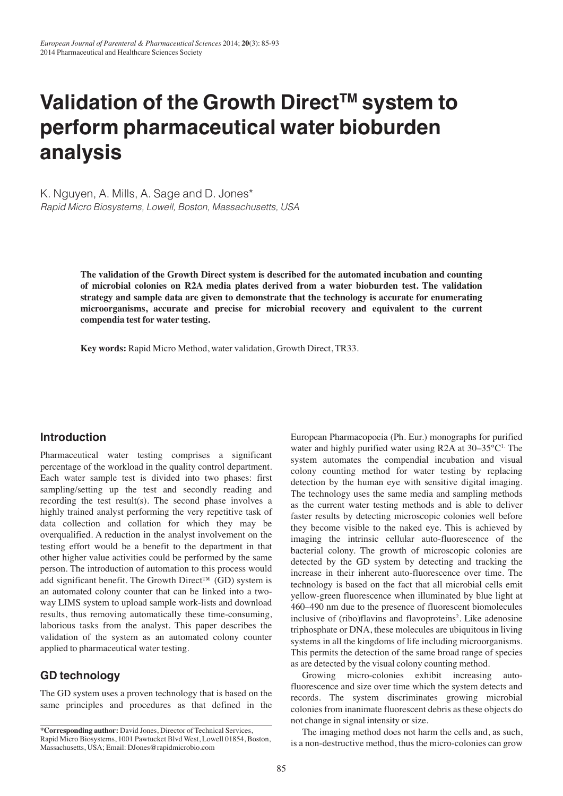# Validation of the Growth Direct<sup>™</sup> system to **perform pharmaceutical water bioburden analysis**

K. Nguyen, A. Mills, A. Sage and D. Jones\* Rapid Micro Biosystems, Lowell, Boston, Massachusetts, USA

> **The validation of the Growth Direct system is described for the automated incubation and counting of microbial colonies on R2A media plates derived from a water bioburden test. The validation strategy and sample data are given to demonstrate that the technology is accurate for enumerating microorganisms, accurate and precise for microbial recovery and equivalent to the current compendia test for water testing.**

**Key words:** Rapid Micro Method, water validation, Growth Direct, TR33.

#### **Introduction**

Pharmaceutical water testing comprises a significant percentage of the workload in the quality control department. Each water sample test is divided into two phases: first sampling/setting up the test and secondly reading and recording the test result(s). The second phase involves a highly trained analyst performing the very repetitive task of data collection and collation for which they may be overqualified. A reduction in the analyst involvement on the testing effort would be a benefit to the department in that other higher value activities could be performed by the same person. The introduction of automation to this process would add significant benefit. The Growth Direct™ (GD) system is an automated colony counter that can be linked into a twoway LIMS system to upload sample work-lists and download results, thus removing automatically these time-consuming, laborious tasks from the analyst. This paper describes the validation of the system as an automated colony counter applied to pharmaceutical water testing.

# **GD technology**

The GD system uses a proven technology that is based on the same principles and procedures as that defined in the European Pharmacopoeia (Ph. Eur.) monographs for purified water and highly purified water using R2A at  $30-35^{\circ}C^{1}$ . The system automates the compendial incubation and visual colony counting method for water testing by replacing detection by the human eye with sensitive digital imaging. The technology uses the same media and sampling methods as the current water testing methods and is able to deliver faster results by detecting microscopic colonies well before they become visible to the naked eye. This is achieved by imaging the intrinsic cellular auto-fluorescence of the bacterial colony. The growth of microscopic colonies are detected by the GD system by detecting and tracking the increase in their inherent auto-fluorescence over time. The technology is based on the fact that all microbial cells emit yellow-green fluorescence when illuminated by blue light at 460–490 nm due to the presence of fluorescent biomolecules inclusive of (ribo)flavins and flavoproteins<sup>2</sup>. Like adenosine triphosphate or DNA, these molecules are ubiquitous in living systems in all the kingdoms of life including microorganisms. This permits the detection of the same broad range of species as are detected by the visual colony counting method.

Growing micro-colonies exhibit increasing autofluorescence and size over time which the system detects and records. The system discriminates growing microbial colonies from inanimate fluorescent debris as these objects do not change in signal intensity or size.

The imaging method does not harm the cells and, as such, is a non-destructive method, thus the micro-colonies can grow

**<sup>\*</sup>Corresponding author:** David Jones, Director of Technical Services, Rapid Micro Biosystems, 1001 Pawtucket Blvd West, Lowell 01854, Boston, Massachusetts, USA; Email: DJones@rapidmicrobio.com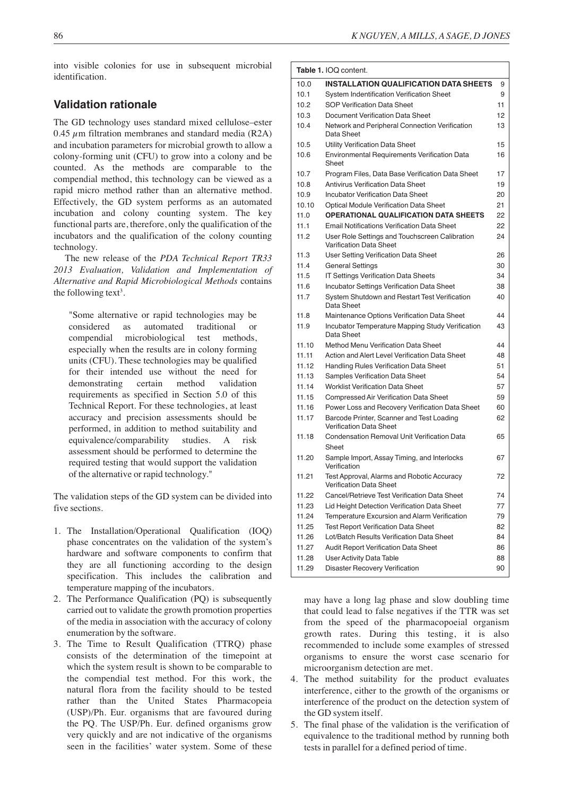into visible colonies for use in subsequent microbial identification.

## **Validation rationale**

The GD technology uses standard mixed cellulose–ester 0.45  $\mu$ m filtration membranes and standard media (R2A) and incubation parameters for microbial growth to allow a colony-forming unit (CFU) to grow into a colony and be counted. As the methods are comparable to the compendial method, this technology can be viewed as a rapid micro method rather than an alternative method. Effectively, the GD system performs as an automated incubation and colony counting system. The key functional parts are, therefore, only the qualification of the incubators and the qualification of the colony counting technology.

The new release of the *PDA Technical Report TR33 2013 Evaluation, Validation and Implementation of Alternative and Rapid Microbiological Methods* contains the following text<sup>3</sup>.

"Some alternative or rapid technologies may be considered as automated traditional or compendial microbiological test methods, especially when the results are in colony forming units (CFU). These technologies may be qualified for their intended use without the need for demonstrating certain method validation requirements as specified in Section 5.0 of this Technical Report. For these technologies, at least accuracy and precision assessments should be performed, in addition to method suitability and equivalence/comparability studies. A risk assessment should be performed to determine the required testing that would support the validation of the alternative or rapid technology."

The validation steps of the GD system can be divided into five sections.

- 1. The Installation/Operational Qualification (IOQ) phase concentrates on the validation of the system's hardware and software components to confirm that they are all functioning according to the design specification. This includes the calibration and temperature mapping of the incubators.
- 2. The Performance Qualification (PQ) is subsequently carried out to validate the growth promotion properties of the media in association with the accuracy of colony enumeration by the software.
- 3. The Time to Result Qualification (TTRQ) phase consists of the determination of the timepoint at which the system result is shown to be comparable to the compendial test method. For this work, the natural flora from the facility should to be tested rather than the United States Pharmacopeia (USP)/Ph. Eur. organisms that are favoured during the PQ. The USP/Ph. Eur. defined organisms grow very quickly and are not indicative of the organisms seen in the facilities' water system. Some of these

| Table 1. IOQ content. |                                                                             |    |  |  |  |  |
|-----------------------|-----------------------------------------------------------------------------|----|--|--|--|--|
| 10.0                  | <b>INSTALLATION QUALIFICATION DATA SHEETS</b>                               | 9  |  |  |  |  |
| 10.1                  | System Indentification Verification Sheet                                   | 9  |  |  |  |  |
| 10.2                  | <b>SOP Verification Data Sheet</b>                                          | 11 |  |  |  |  |
| 10.3                  | Document Verification Data Sheet                                            | 12 |  |  |  |  |
| 10.4                  | Network and Peripheral Connection Verification<br>Data Sheet                | 13 |  |  |  |  |
| 10.5                  | Utility Verification Data Sheet                                             | 15 |  |  |  |  |
| 10.6                  | Environmental Requirements Verification Data<br>Sheet                       | 16 |  |  |  |  |
| 10.7                  | Program Files, Data Base Verification Data Sheet                            | 17 |  |  |  |  |
| 10.8                  | Antivirus Verification Data Sheet                                           | 19 |  |  |  |  |
| 10.9                  | <b>Incubator Verification Data Sheet</b>                                    | 20 |  |  |  |  |
| 10.10                 | <b>Optical Module Verification Data Sheet</b>                               | 21 |  |  |  |  |
| 11.0                  | <b>OPERATIONAL QUALIFICATION DATA SHEETS</b>                                | 22 |  |  |  |  |
| 11.1                  | <b>Email Notifications Verification Data Sheet</b>                          | 22 |  |  |  |  |
| 11.2                  | User Role Settings and Touchscreen Calibration<br>Varification Data Sheet   | 24 |  |  |  |  |
| 11.3                  | User Setting Verification Data Sheet                                        | 26 |  |  |  |  |
| 11.4                  | <b>General Settings</b>                                                     | 30 |  |  |  |  |
| 11.5                  | IT Settings Verification Data Sheets                                        | 34 |  |  |  |  |
| 11.6                  | <b>Incubator Settings Verification Data Sheet</b>                           | 38 |  |  |  |  |
| 11.7                  | System Shutdown and Restart Test Verification<br>Data Sheet                 | 40 |  |  |  |  |
| 11.8                  | Maintenance Options Verification Data Sheet                                 | 44 |  |  |  |  |
| 11.9                  | Incubator Temperature Mapping Study Verification<br>Data Sheet              | 43 |  |  |  |  |
| 11.10                 | Method Menu Verification Data Sheet                                         | 44 |  |  |  |  |
| 11.11                 | Action and Alert Level Verification Data Sheet                              | 48 |  |  |  |  |
| 11.12                 | Handling Rules Verification Data Sheet                                      | 51 |  |  |  |  |
| 11.13                 | <b>Samples Verification Data Sheet</b>                                      | 54 |  |  |  |  |
| 11.14                 | <b>Worklist Verification Data Sheet</b>                                     | 57 |  |  |  |  |
| 11.15                 | Compressed Air Verification Data Sheet                                      | 59 |  |  |  |  |
| 11.16                 | Power Loss and Recovery Verification Data Sheet                             | 60 |  |  |  |  |
| 11.17                 | Barcode Printer, Scanner and Test Loading<br><b>Verification Data Sheet</b> | 62 |  |  |  |  |
| 11.18                 | <b>Condensation Removal Unit Verification Data</b><br>Sheet                 | 65 |  |  |  |  |
| 11.20                 | Sample Import, Assay Timing, and Interlocks<br>Verification                 | 67 |  |  |  |  |
| 11.21                 | Test Approval, Alarms and Robotic Accuracy<br>Verification Data Sheet       | 72 |  |  |  |  |
| 11.22                 | Cancel/Retrieve Test Verification Data Sheet                                | 74 |  |  |  |  |
| 11.23                 | Lid Height Detection Verification Data Sheet                                | 77 |  |  |  |  |
| 11.24                 | Temperature Excursion and Alarm Verification                                | 79 |  |  |  |  |
| 11.25                 | <b>Test Report Verification Data Sheet</b>                                  | 82 |  |  |  |  |
| 11.26                 | Lot/Batch Results Verification Data Sheet                                   | 84 |  |  |  |  |
| 11.27                 | <b>Audit Report Verification Data Sheet</b>                                 | 86 |  |  |  |  |
| 11.28                 | User Activity Data Table                                                    | 88 |  |  |  |  |
| 11.29                 | Disaster Recovery Verification                                              | 90 |  |  |  |  |

may have a long lag phase and slow doubling time that could lead to false negatives if the TTR was set from the speed of the pharmacopoeial organism growth rates. During this testing, it is also recommended to include some examples of stressed organisms to ensure the worst case scenario for microorganism detection are met.

- 4. The method suitability for the product evaluates interference, either to the growth of the organisms or interference of the product on the detection system of the GD system itself.
- 5. The final phase of the validation is the verification of equivalence to the traditional method by running both tests in parallel for a defined period of time.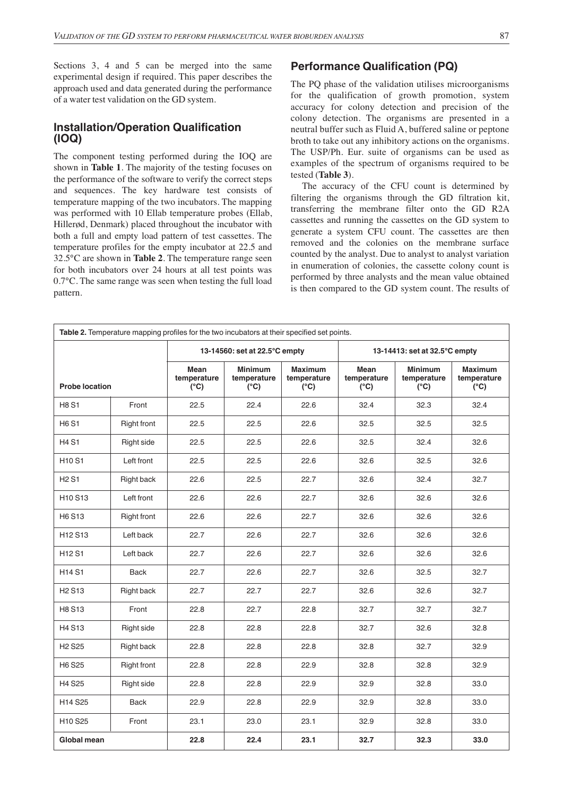Sections 3, 4 and 5 can be merged into the same experimental design if required. This paper describes the approach used and data generated during the performance of a water test validation on the GD system.

## **Installation/Operation Qualification (IOQ)**

The component testing performed during the IOQ are shown in **Table 1**. The majority of the testing focuses on the performance of the software to verify the correct steps and sequences. The key hardware test consists of temperature mapping of the two incubators. The mapping was performed with 10 Ellab temperature probes (Ellab, Hillerød, Denmark) placed throughout the incubator with both a full and empty load pattern of test cassettes. The temperature profiles for the empty incubator at 22.5 and 32.5°C are shown in **Table 2**. The temperature range seen for both incubators over 24 hours at all test points was 0.7°C. The same range was seen when testing the full load pattern.

## **Performance Qualification (PQ)**

The PQ phase of the validation utilises microorganisms for the qualification of growth promotion, system accuracy for colony detection and precision of the colony detection. The organisms are presented in a neutral buffer such as Fluid A, buffered saline or peptone broth to take out any inhibitory actions on the organisms. The USP/Ph. Eur. suite of organisms can be used as examples of the spectrum of organisms required to be tested (**Table 3**).

The accuracy of the CFU count is determined by filtering the organisms through the GD filtration kit, transferring the membrane filter onto the GD R2A cassettes and running the cassettes on the GD system to generate a system CFU count. The cassettes are then removed and the colonies on the membrane surface counted by the analyst. Due to analyst to analyst variation in enumeration of colonies, the cassette colony count is performed by three analysts and the mean value obtained is then compared to the GD system count. The results of

| Table 2. Temperature mapping profiles for the two incubators at their specified set points. |                    |                                             |                                                |                                                |                                      |                                                |                                                |
|---------------------------------------------------------------------------------------------|--------------------|---------------------------------------------|------------------------------------------------|------------------------------------------------|--------------------------------------|------------------------------------------------|------------------------------------------------|
|                                                                                             |                    | 13-14560: set at 22.5°C empty               |                                                |                                                | 13-14413: set at 32.5°C empty        |                                                |                                                |
| <b>Probe location</b>                                                                       |                    | <b>Mean</b><br>temperature<br>$(^{\circ}C)$ | <b>Minimum</b><br>temperature<br>$(^{\circ}C)$ | <b>Maximum</b><br>temperature<br>$(^{\circ}C)$ | Mean<br>temperature<br>$(^{\circ}C)$ | <b>Minimum</b><br>temperature<br>$(^{\circ}C)$ | <b>Maximum</b><br>temperature<br>$(^{\circ}C)$ |
| <b>H8 S1</b>                                                                                | Front              | 22.5                                        | 22.4                                           | 22.6                                           | 32.4                                 | 32.3                                           | 32.4                                           |
| <b>H6 S1</b>                                                                                | <b>Right front</b> | 22.5                                        | 22.5                                           | 22.6                                           | 32.5                                 | 32.5                                           | 32.5                                           |
| <b>H4 S1</b>                                                                                | Right side         | 22.5                                        | 22.5                                           | 22.6                                           | 32.5                                 | 32.4                                           | 32.6                                           |
| <b>H10 S1</b>                                                                               | Left front         | 22.5                                        | 22.5                                           | 22.6                                           | 32.6                                 | 32.5                                           | 32.6                                           |
| <b>H2S1</b>                                                                                 | Right back         | 22.6                                        | 22.5                                           | 22.7                                           | 32.6                                 | 32.4                                           | 32.7                                           |
| H <sub>10</sub> S <sub>13</sub>                                                             | Left front         | 22.6                                        | 22.6                                           | 22.7                                           | 32.6                                 | 32.6                                           | 32.6                                           |
| H6 S13                                                                                      | <b>Right front</b> | 22.6                                        | 22.6                                           | 22.7                                           | 32.6                                 | 32.6                                           | 32.6                                           |
| H <sub>12</sub> S <sub>13</sub>                                                             | Left back          | 22.7                                        | 22.6                                           | 22.7                                           | 32.6                                 | 32.6                                           | 32.6                                           |
| <b>H12 S1</b>                                                                               | Left back          | 22.7                                        | 22.6                                           | 22.7                                           | 32.6                                 | 32.6                                           | 32.6                                           |
| <b>H14S1</b>                                                                                | <b>Back</b>        | 22.7                                        | 22.6                                           | 22.7                                           | 32.6                                 | 32.5                                           | 32.7                                           |
| <b>H<sub>2</sub></b> S <sub>13</sub>                                                        | Right back         | 22.7                                        | 22.7                                           | 22.7                                           | 32.6                                 | 32.6                                           | 32.7                                           |
| H8 S13                                                                                      | Front              | 22.8                                        | 22.7                                           | 22.8                                           | 32.7                                 | 32.7                                           | 32.7                                           |
| H4 S13                                                                                      | Right side         | 22.8                                        | 22.8                                           | 22.8                                           | 32.7                                 | 32.6                                           | 32.8                                           |
| <b>H<sub>2</sub></b> S <sub>25</sub>                                                        | <b>Right back</b>  | 22.8                                        | 22.8                                           | 22.8                                           | 32.8                                 | 32.7                                           | 32.9                                           |
| H <sub>6</sub> S <sub>25</sub>                                                              | <b>Right front</b> | 22.8                                        | 22.8                                           | 22.9                                           | 32.8                                 | 32.8                                           | 32.9                                           |
| <b>H4 S25</b>                                                                               | Right side         | 22.8                                        | 22.8                                           | 22.9                                           | 32.9                                 | 32.8                                           | 33.0                                           |
| H14 S25                                                                                     | <b>Back</b>        | 22.9                                        | 22.8                                           | 22.9                                           | 32.9                                 | 32.8                                           | 33.0                                           |
| H <sub>10</sub> S <sub>25</sub><br>Front                                                    |                    | 23.1                                        | 23.0                                           | 23.1                                           | 32.9                                 | 32.8                                           | 33.0                                           |
| <b>Global mean</b>                                                                          |                    | 22.8                                        | 22.4                                           | 23.1                                           | 32.7                                 | 32.3                                           | 33.0                                           |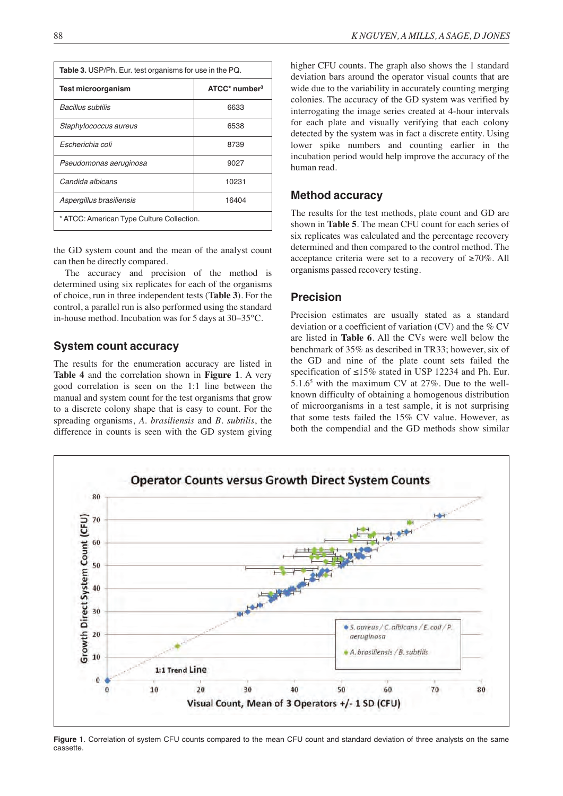| <b>Table 3.</b> USP/Ph. Eur. test organisms for use in the PQ. |                    |  |  |  |  |
|----------------------------------------------------------------|--------------------|--|--|--|--|
| <b>Test microorganism</b>                                      | $ATCC*$ number $3$ |  |  |  |  |
| Bacillus subtilis                                              | 6633               |  |  |  |  |
| Staphylococcus aureus                                          | 6538               |  |  |  |  |
| Escherichia coli                                               | 8739               |  |  |  |  |
| Pseudomonas aeruginosa                                         | 9027               |  |  |  |  |
| Candida albicans                                               | 10231              |  |  |  |  |
| Aspergillus brasiliensis<br>16404                              |                    |  |  |  |  |
| * ATCC: American Type Culture Collection.                      |                    |  |  |  |  |

the GD system count and the mean of the analyst count can then be directly compared.

The accuracy and precision of the method is determined using six replicates for each of the organisms of choice, run in three independent tests (**Table 3**). For the control, a parallel run is also performed using the standard in-house method. Incubation was for 5 days at 30–35°C.

## **System count accuracy**

The results for the enumeration accuracy are listed in **Table 4** and the correlation shown in **Figure 1**. A very good correlation is seen on the 1:1 line between the manual and system count for the test organisms that grow to a discrete colony shape that is easy to count. For the spreading organisms, *A. brasiliensis* and *B. subtilis*, the difference in counts is seen with the GD system giving

higher CFU counts. The graph also shows the 1 standard deviation bars around the operator visual counts that are wide due to the variability in accurately counting merging colonies. The accuracy of the GD system was verified by interrogating the image series created at 4-hour intervals for each plate and visually verifying that each colony detected by the system was in fact a discrete entity. Using lower spike numbers and counting earlier in the incubation period would help improve the accuracy of the human read.

#### **Method accuracy**

The results for the test methods, plate count and GD are shown in **Table 5**. The mean CFU count for each series of six replicates was calculated and the percentage recovery determined and then compared to the control method. The acceptance criteria were set to a recovery of ≥70%. All organisms passed recovery testing.

#### **Precision**

Precision estimates are usually stated as a standard deviation or a coefficient of variation (CV) and the % CV are listed in **Table 6**. All the CVs were well below the benchmark of 35% as described in TR33; however, six of the GD and nine of the plate count sets failed the specification of ≤15% stated in USP 12234 and Ph. Eur. 5.1.65 with the maximum CV at 27%. Due to the wellknown difficulty of obtaining a homogenous distribution of microorganisms in a test sample, it is not surprising that some tests failed the 15% CV value. However, as both the compendial and the GD methods show similar



**Figure 1**. Correlation of system CFU counts compared to the mean CFU count and standard deviation of three analysts on the same cassette.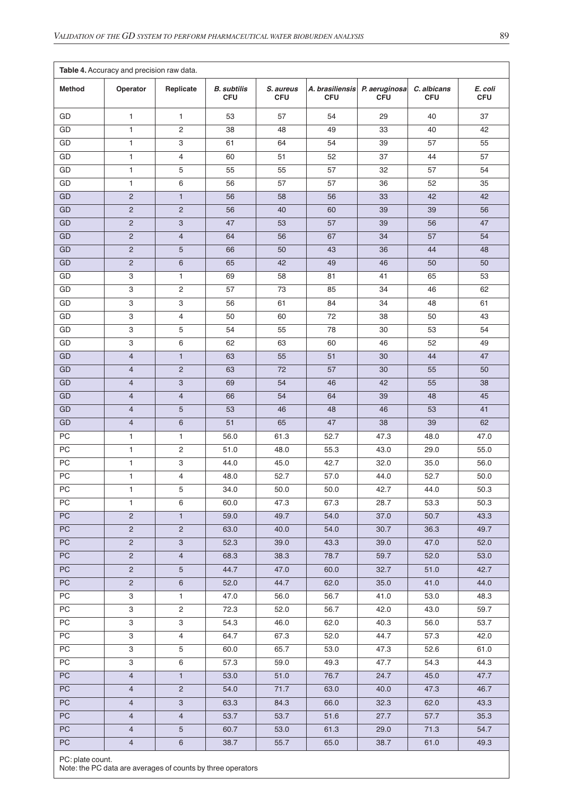| Table 4. Accuracy and precision raw data. |                |                       |                                  |                         |                               |                             |                           |                       |
|-------------------------------------------|----------------|-----------------------|----------------------------------|-------------------------|-------------------------------|-----------------------------|---------------------------|-----------------------|
| <b>Method</b>                             | Operator       | Replicate             | <b>B.</b> subtilis<br><b>CFU</b> | S. aureus<br><b>CFU</b> | A. brasiliensis<br><b>CFU</b> | P. aeruginosa<br><b>CFU</b> | C. albicans<br><b>CFU</b> | E. coli<br><b>CFU</b> |
| GD                                        | $\mathbf{1}$   | 1                     | 53                               | 57                      | 54                            | 29                          | 40                        | 37                    |
| GD                                        | $\mathbf{1}$   | 2                     | 38                               | 48                      | 49                            | 33                          | 40                        | 42                    |
| GD                                        | $\mathbf{1}$   | 3                     | 61                               | 64                      | 54                            | 39                          | 57                        | 55                    |
| GD                                        | $\mathbf{1}$   | 4                     | 60                               | 51                      | 52                            | 37                          | 44                        | 57                    |
| GD                                        | $\mathbf{1}$   | 5                     | 55                               | 55                      | 57                            | 32                          | 57                        | 54                    |
| GD                                        | $\mathbf{1}$   | 6                     | 56                               | 57                      | 57                            | 36                          | 52                        | 35                    |
| GD                                        | $\mathbf 2$    | $\mathbf{1}$          | 56                               | 58                      | 56                            | 33                          | 42                        | 42                    |
| GD                                        | $\sqrt{2}$     | $\overline{2}$        | 56                               | 40                      | 60                            | 39                          | 39                        | 56                    |
| GD                                        | $\sqrt{2}$     | 3                     | 47                               | 53                      | 57                            | 39                          | 56                        | 47                    |
| GD                                        | $\mathbf 2$    | $\overline{4}$        | 64                               | 56                      | 67                            | 34                          | 57                        | 54                    |
| GD                                        | $\overline{2}$ | 5                     | 66                               | 50                      | 43                            | 36                          | 44                        | 48                    |
| GD                                        | $\sqrt{2}$     | 6                     | 65                               | 42                      | 49                            | 46                          | 50                        | 50                    |
| GD                                        | 3              | $\mathbf{1}$          | 69                               | 58                      | 81                            | 41                          | 65                        | 53                    |
| GD                                        | 3              | 2                     | 57                               | 73                      | 85                            | 34                          | 46                        | 62                    |
| GD                                        | 3              | 3                     | 56                               | 61                      | 84                            | 34                          | 48                        | 61                    |
| GD                                        | 3              | $\overline{4}$        | 50                               | 60                      | 72                            | 38                          | 50                        | 43                    |
| GD                                        | 3              | 5                     | 54                               | 55                      | 78                            | 30                          | 53                        | 54                    |
| GD                                        | 3              | 6                     | 62                               | 63                      | 60                            | 46                          | 52                        | 49                    |
| GD                                        | $\overline{4}$ | $\mathbf{1}$          | 63                               | 55                      | 51                            | 30                          | 44                        | 47                    |
| GD                                        | $\overline{4}$ | $\overline{2}$        | 63                               | 72                      | 57                            | 30                          | 55                        | 50                    |
| GD                                        | $\overline{4}$ | 3                     | 69                               | 54                      | 46                            | 42                          | 55                        | 38                    |
| GD                                        | $\overline{4}$ | $\overline{4}$        | 66                               | 54                      | 64                            | 39                          | 48                        | 45                    |
| GD                                        | $\overline{4}$ | 5                     | 53                               | 46                      | 48                            | 46                          | 53                        | 41                    |
| GD                                        | $\overline{4}$ | 6                     | 51                               | 65                      | 47                            | 38                          | 39                        | 62                    |
| PC                                        | $\mathbf{1}$   | $\mathbf{1}$          | 56.0                             | 61.3                    | 52.7                          | 47.3                        | 48.0                      | 47.0                  |
| PC                                        | $\mathbf{1}$   | 2                     | 51.0                             | 48.0                    | 55.3                          | 43.0                        | 29.0                      | 55.0                  |
| PC                                        | $\mathbf{1}$   | 3                     | 44.0                             | 45.0                    | 42.7                          | 32.0                        | 35.0                      | 56.0                  |
| PC                                        | 1              | 4                     | 48.0                             | 52.7                    | 57.0                          | 44.0                        | 52.7                      | 50.0                  |
| PС                                        | $\mathbf{1}$   | 5                     | 34.0                             | 50.0                    | 50.0                          | 42.7                        | 44.0                      | 50.3                  |
| PC                                        | $\mathbf{1}$   | 6                     | 60.0                             | 47.3                    | 67.3                          | 28.7                        | 53.3                      | 50.3                  |
| $\overline{PC}$                           | $\overline{c}$ | $\mathbf{1}$          | 59.0                             | 49.7                    | 54.0                          | 37.0                        | 50.7                      | 43.3                  |
| PC                                        | $\overline{2}$ | $\overline{2}$        | 63.0                             | 40.0                    | 54.0                          | 30.7                        | 36.3                      | 49.7                  |
| PC                                        | $\overline{2}$ | $\mathbf{3}$          | 52.3                             | 39.0                    | 43.3                          | 39.0                        | 47.0                      | 52.0                  |
| PC                                        | $\overline{2}$ | $\overline{4}$        | 68.3                             | 38.3                    | 78.7                          | 59.7                        | 52.0                      | 53.0                  |
| <b>PC</b>                                 | $\overline{2}$ | $5\phantom{.0}$       | 44.7                             | 47.0                    | 60.0                          | 32.7                        | 51.0                      | 42.7                  |
| $\overline{PC}$                           | $\overline{2}$ | $6\phantom{a}$        | 52.0                             | 44.7                    | 62.0                          | 35.0                        | 41.0                      | 44.0                  |
| PC                                        | $\overline{3}$ | $\mathbf{1}$          | 47.0                             | 56.0                    | 56.7                          | 41.0                        | 53.0                      | 48.3                  |
| ${\sf PC}$                                | $\mathbf{3}$   | $\mathbf{2}^{\prime}$ | 72.3                             | 52.0                    | 56.7                          | 42.0                        | 43.0                      | 59.7                  |
| PC                                        | 3              | 3                     | 54.3                             | 46.0                    | 62.0                          | 40.3                        | 56.0                      | 53.7                  |
| PC                                        | 3              | $\overline{4}$        | 64.7                             | 67.3                    | 52.0                          | 44.7                        | 57.3                      | 42.0                  |
| PC                                        | $\mathbf{3}$   | 5                     | 60.0                             | 65.7                    | 53.0                          | 47.3                        | 52.6                      | 61.0                  |
| PC                                        | $\overline{3}$ | $\,6$                 | 57.3                             | 59.0                    | 49.3                          | 47.7                        | 54.3                      | 44.3                  |
| PC                                        | $\overline{4}$ | $\mathbf{1}$          | 53.0                             | 51.0                    | 76.7                          | 24.7                        | 45.0                      | 47.7                  |
| PC                                        | $\overline{4}$ | $\overline{2}$        | 54.0                             | 71.7                    | 63.0                          | 40.0                        | 47.3                      | 46.7                  |
| PC                                        | $\overline{4}$ | $\mathbf{3}$          | 63.3                             | 84.3                    | 66.0                          | 32.3                        | 62.0                      | 43.3                  |
| <b>PC</b>                                 | $\overline{4}$ | $\overline{4}$        | 53.7                             | 53.7                    | 51.6                          | 27.7                        | 57.7                      | 35.3                  |
| PC                                        | $\overline{4}$ | $5\phantom{.0}$       | 60.7                             | 53.0                    | 61.3                          | 29.0                        | 71.3                      | 54.7                  |
| ${\sf PC}$                                | $\overline{4}$ | $\,6\,$               | 38.7                             | 55.7                    | 65.0                          | 38.7                        | 61.0                      | 49.3                  |

PC: plate count.

Note: the PC data are averages of counts by three operators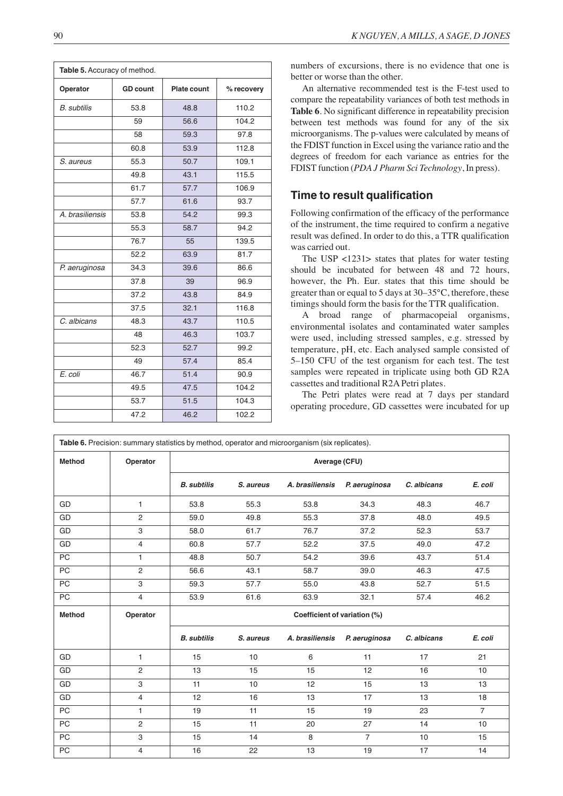| Table 5. Accuracy of method. |  |                    |            |
|------------------------------|--|--------------------|------------|
| Operator<br><b>GD</b> count  |  | <b>Plate count</b> | % recovery |
|                              |  |                    |            |

| operator           |      | iaco voailt | ,,,,,,,,,,, |
|--------------------|------|-------------|-------------|
| <b>B.</b> subtilis | 53.8 | 48.8        | 110.2       |
|                    | 59   | 56.6        | 104.2       |
|                    | 58   | 59.3        | 97.8        |
|                    | 60.8 | 53.9        | 112.8       |
| S. aureus          | 55.3 | 50.7        | 109.1       |
|                    | 49.8 | 43.1        | 115.5       |
|                    | 61.7 | 57.7        | 106.9       |
|                    | 57.7 | 61.6        | 93.7        |
| A. brasiliensis    | 53.8 | 54.2        | 99.3        |
|                    | 55.3 | 58.7        | 94.2        |
|                    | 76.7 | 55          | 139.5       |
|                    | 52.2 | 63.9        | 81.7        |
| P. aeruginosa      | 34.3 | 39.6        | 86.6        |
|                    | 37.8 | 39          | 96.9        |
|                    | 37.2 | 43.8        | 84.9        |
|                    | 37.5 | 32.1        | 116.8       |
| C. albicans        | 48.3 | 43.7        | 110.5       |
|                    | 48   | 46.3        | 103.7       |
|                    | 52.3 | 52.7        | 99.2        |
|                    | 49   | 57.4        | 85.4        |
| E. coli            | 46.7 | 51.4        | 90.9        |
|                    | 49.5 | 47.5        | 104.2       |
|                    | 53.7 | 51.5        | 104.3       |
|                    | 47.2 | 46.2        | 102.2       |

numbers of excursions, there is no evidence that one is better or worse than the other.

An alternative recommended test is the F-test used to compare the repeatability variances of both test methods in **Table 6**. No significant difference in repeatability precision between test methods was found for any of the six microorganisms. The p-values were calculated by means of the FDIST function in Excel using the variance ratio and the degrees of freedom for each variance as entries for the FDIST function (*PDA J Pharm Sci Technology*, In press).

# **Time to result qualification**

Following confirmation of the efficacy of the performance of the instrument, the time required to confirm a negative result was defined. In order to do this, a TTR qualification was carried out.

The USP <1231> states that plates for water testing should be incubated for between 48 and 72 hours, however, the Ph. Eur. states that this time should be greater than or equal to 5 days at 30–35°C, therefore, these timings should form the basis for the TTR qualification.

A broad range of pharmacopeial organisms, environmental isolates and contaminated water samples were used, including stressed samples, e.g. stressed by temperature, pH, etc. Each analysed sample consisted of 5–150 CFU of the test organism for each test. The test samples were repeated in triplicate using both GD R2A cassettes and traditional R2A Petri plates.

The Petri plates were read at 7 days per standard operating procedure, GD cassettes were incubated for up

| Table 6. Precision: summary statistics by method, operator and microorganism (six replicates). |                |                    |           |                              |                |             |                |
|------------------------------------------------------------------------------------------------|----------------|--------------------|-----------|------------------------------|----------------|-------------|----------------|
| <b>Method</b>                                                                                  | Operator       | Average (CFU)      |           |                              |                |             |                |
|                                                                                                |                | <b>B.</b> subtilis | S. aureus | A. brasiliensis              | P. aeruginosa  | C. albicans | E. coli        |
| GD                                                                                             | 1              | 53.8               | 55.3      | 53.8                         | 34.3           | 48.3        | 46.7           |
| GD                                                                                             | $\overline{2}$ | 59.0               | 49.8      | 55.3                         | 37.8           | 48.0        | 49.5           |
| GD                                                                                             | 3              | 58.0               | 61.7      | 76.7                         | 37.2           | 52.3        | 53.7           |
| GD                                                                                             | $\overline{4}$ | 60.8               | 57.7      | 52.2                         | 37.5           | 49.0        | 47.2           |
| <b>PC</b>                                                                                      | $\mathbf{1}$   | 48.8               | 50.7      | 54.2                         | 39.6           | 43.7        | 51.4           |
| PC                                                                                             | $\overline{2}$ | 56.6               | 43.1      | 58.7                         | 39.0           | 46.3        | 47.5           |
| PC                                                                                             | 3              | 59.3               | 57.7      | 55.0                         | 43.8           | 52.7        | 51.5           |
| PC                                                                                             | $\overline{4}$ | 53.9               | 61.6      | 63.9                         | 32.1           | 57.4        | 46.2           |
| <b>Method</b>                                                                                  | Operator       |                    |           | Coefficient of variation (%) |                |             |                |
|                                                                                                |                | <b>B.</b> subtilis | S. aureus | A. brasiliensis              | P. aeruginosa  | C. albicans | E. coli        |
| GD                                                                                             | 1              | 15                 | 10        | 6                            | 11             | 17          | 21             |
| GD                                                                                             | $\overline{c}$ | 13                 | 15        | 15                           | 12             | 16          | 10             |
| GD                                                                                             | 3              | 11                 | 10        | 12                           | 15             | 13          | 13             |
| GD                                                                                             | 4              | 12                 | 16        | 13                           | 17             | 13          | 18             |
| PC                                                                                             | $\mathbf{1}$   | 19                 | 11        | 15                           | 19             | 23          | $\overline{7}$ |
| PC                                                                                             | $\mathbf{2}$   | 15                 | 11        | 20                           | 27             | 14          | 10             |
| PC                                                                                             | 3              | 15                 | 14        | 8                            | $\overline{7}$ | 10          | 15             |
| PC                                                                                             | 4              | 16                 | 22        | 13                           | 19             | 17          | 14             |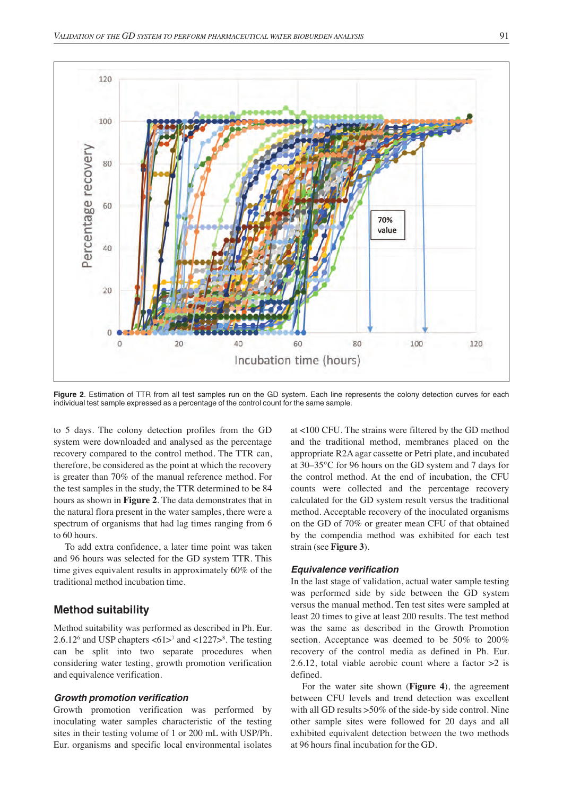

**Figure 2**. Estimation of TTR from all test samples run on the GD system. Each line represents the colony detection curves for each individual test sample expressed as a percentage of the control count for the same sample.

to 5 days. The colony detection profiles from the GD system were downloaded and analysed as the percentage recovery compared to the control method. The TTR can, therefore, be considered as the point at which the recovery is greater than 70% of the manual reference method. For the test samples in the study, the TTR determined to be 84 hours as shown in **Figure 2**. The data demonstrates that in the natural flora present in the water samples, there were a spectrum of organisms that had lag times ranging from 6 to 60 hours.

To add extra confidence, a later time point was taken and 96 hours was selected for the GD system TTR. This time gives equivalent results in approximately 60% of the traditional method incubation time.

#### **Method suitability**

Method suitability was performed as described in Ph. Eur. 2.6.12 $^6$  and USP chapters  $\lt 61$ > $^7$  and  $\lt 1227$ > $^8$ . The testing can be split into two separate procedures when considering water testing, growth promotion verification and equivalence verification.

#### *Growth promotion verification*

Growth promotion verification was performed by inoculating water samples characteristic of the testing sites in their testing volume of 1 or 200 mL with USP/Ph. Eur. organisms and specific local environmental isolates

at <100 CFU. The strains were filtered by the GD method and the traditional method, membranes placed on the appropriate R2A agar cassette or Petri plate, and incubated at 30–35°C for 96 hours on the GD system and 7 days for the control method. At the end of incubation, the CFU counts were collected and the percentage recovery calculated for the GD system result versus the traditional method. Acceptable recovery of the inoculated organisms on the GD of 70% or greater mean CFU of that obtained by the compendia method was exhibited for each test strain (see **Figure 3**).

#### *Equivalence verification*

In the last stage of validation, actual water sample testing was performed side by side between the GD system versus the manual method. Ten test sites were sampled at least 20 times to give at least 200 results. The test method was the same as described in the Growth Promotion section. Acceptance was deemed to be 50% to 200% recovery of the control media as defined in Ph. Eur. 2.6.12, total viable aerobic count where a factor  $>2$  is defined.

For the water site shown (**Figure 4**), the agreement between CFU levels and trend detection was excellent with all GD results  $>50\%$  of the side-by side control. Nine other sample sites were followed for 20 days and all exhibited equivalent detection between the two methods at 96 hours final incubation for the GD.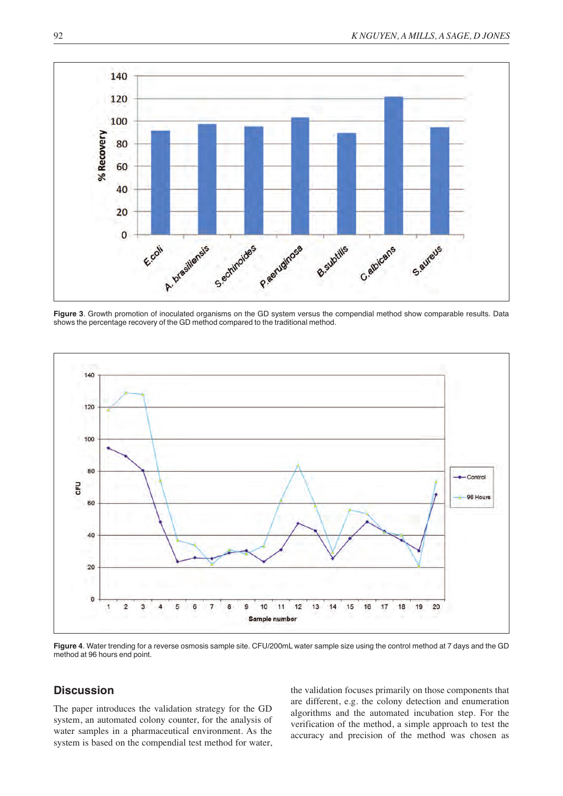

**Figure 3**. Growth promotion of inoculated organisms on the GD system versus the compendial method show comparable results. Data shows the percentage recovery of the GD method compared to the traditional method.



**Figure 4**. Water trending for a reverse osmosis sample site. CFU/200mL water sample size using the control method at 7 days and the GD method at 96 hours end point.

## **Discussion**

The paper introduces the validation strategy for the GD system, an automated colony counter, for the analysis of water samples in a pharmaceutical environment. As the system is based on the compendial test method for water, the validation focuses primarily on those components that are different, e.g. the colony detection and enumeration algorithms and the automated incubation step. For the verification of the method, a simple approach to test the accuracy and precision of the method was chosen as